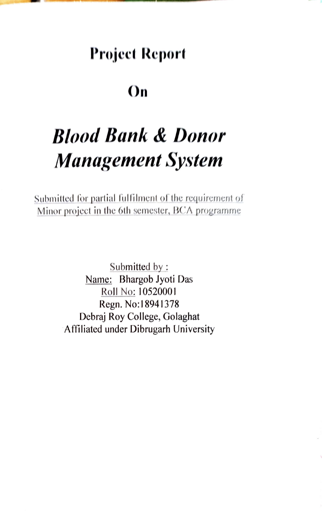## Projeet Report

### On

# Blood Bank & Donor Management System

Submitted for partial fiulfilment of the requirenent of Minor project in the 6th semester, BCA programme

> Submitted by: Name: Bhargob Jyoti Das Roll No: 10520001 Regn. No:18941378 Debraj Roy College, Golaghat Afiliated under Dibrugarh University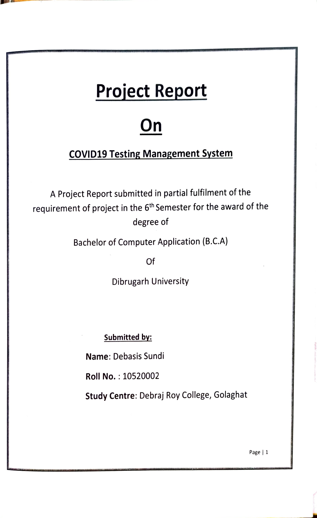# Project Report

# On

#### COVID19 Testing Management System

A Project Report submitted in partial fulfilment of the requirement of project in the 6<sup>th</sup> Semester for the award of the degree of

Bachelor of Computer Application (B.C.A)

Of

Dibrugarh University

Submitted by:

Name: Debasis Sundi

Roll No. :10520002

Study Centre: Debraj Roy College, Golaghat

Page| 1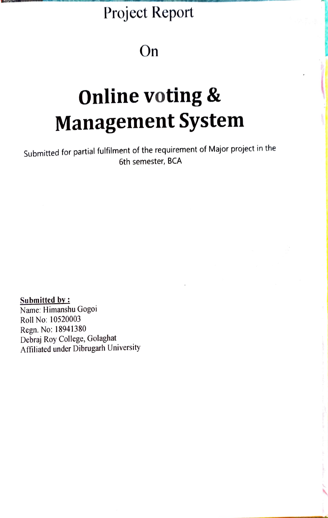## Project Report

### On

# Online voting & Management System

Submitted for partial fulfilment of the requirement of Major project in the 6th semester, BCA

Submitted by: Name: Himanshu Gogoi Roll No: 10520003

Regn. No: 18941380 Debraj Roy College, Golaghat Affiliated under Dibrugarh University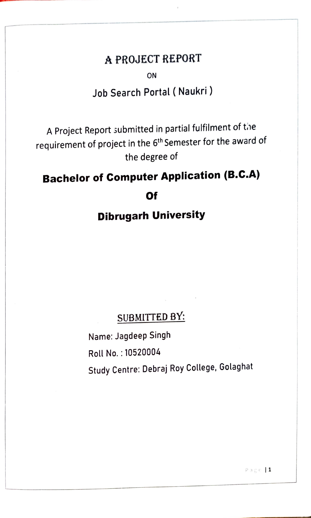#### A PROJECT REPORT

ON

#### Job Search Portal ( Naukri)

A Project Report submitted in partial fulfilment of tihe requirement of project in the 6<sup>th</sup> Semester for the award of the degree of

## Bachelor of Computer Application (B.C.A)

Of

#### Dibrugarh University

#### SUBMITTED BY:

Name: Jagdeep Singh Roll No. 10520004

Study Centre: Debraj Roy College, Golaghat

Page l1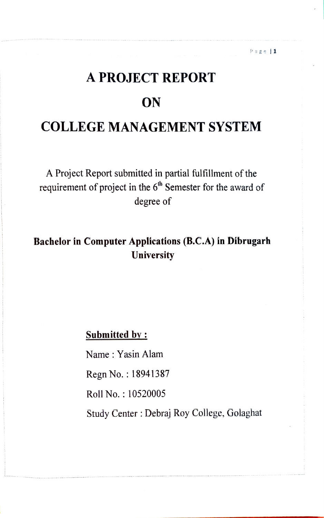# A PROJECT REPORT **ON** COLLEGE MANAGEMENT SYSTEM

Page l1

A Project Report submitted in partial fulfillment of the requirement of project in the  $6<sup>th</sup>$  Semester for the award of degree of

Bachelor in Computer Applications (B.C.A) in Dibrugarh **University** 

Submitted by:

Name: Yasin Alam

Regn No.: 18941387

Roll No.: 10520005

Study Center : Debraj Roy College, Golaghat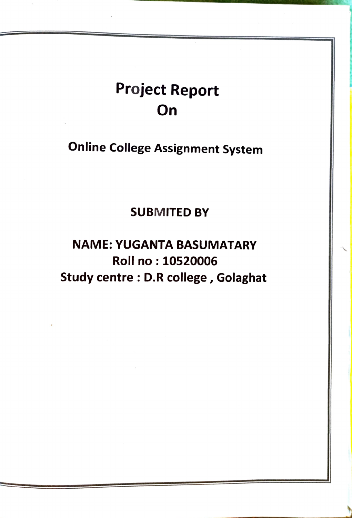## Project Report **On**

Online College Assignment System

SUBMITED BY

NAME: YUGANTA BASUMATARY Roll no: 10520006 Study centre: D.R college, Golaghat